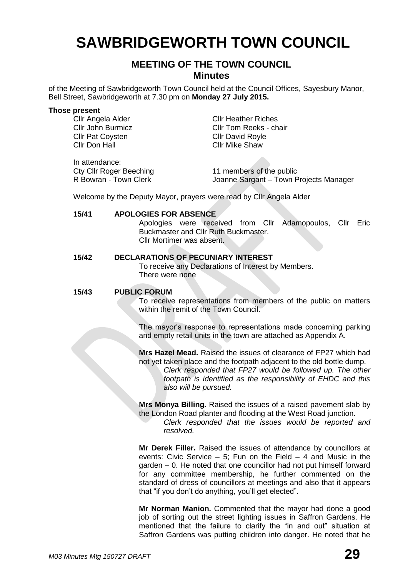# **SAWBRIDGEWORTH TOWN COUNCIL**

# **MEETING OF THE TOWN COUNCIL Minutes**

of the Meeting of Sawbridgeworth Town Council held at the Council Offices, Sayesbury Manor, Bell Street, Sawbridgeworth at 7.30 pm on **Monday 27 July 2015.**

#### **Those present**

**Cllr Pat Coysten Cllr David Royle** Cllr Don Hall Cllr Mike Shaw

Cllr Angela Alder Cllr Heather Riches Cllr John Burmicz Cllr Tom Reeks - chair

In attendance: Cty Cllr Roger Beeching **11 members of the public**<br>R Bowran - Town Clerk **10 Marting Sarmant - Town F** 

Joanne Sargant – Town Projects Manager

Welcome by the Deputy Mayor, prayers were read by Cllr Angela Alder

#### **15/41 APOLOGIES FOR ABSENCE**

Apologies were received from Cllr Adamopoulos, Cllr Eric Buckmaster and Cllr Ruth Buckmaster. Cllr Mortimer was absent.

#### **15/42 DECLARATIONS OF PECUNIARY INTEREST**

To receive any Declarations of Interest by Members. There were none

#### **15/43 PUBLIC FORUM**

To receive representations from members of the public on matters within the remit of the Town Council.

The mayor's response to representations made concerning parking and empty retail units in the town are attached as Appendix A.

**Mrs Hazel Mead.** Raised the issues of clearance of FP27 which had not yet taken place and the footpath adjacent to the old bottle dump.

> *Clerk responded that FP27 would be followed up. The other footpath is identified as the responsibility of EHDC and this also will be pursued.*

**Mrs Monya Billing.** Raised the issues of a raised pavement slab by the London Road planter and flooding at the West Road junction.

*Clerk responded that the issues would be reported and resolved.*

**Mr Derek Filler.** Raised the issues of attendance by councillors at events: Civic Service  $-5$ ; Fun on the Field  $-4$  and Music in the garden – 0. He noted that one councillor had not put himself forward for any committee membership, he further commented on the standard of dress of councillors at meetings and also that it appears that "if you don't do anything, you'll get elected".

**Mr Norman Manion.** Commented that the mayor had done a good job of sorting out the street lighting issues in Saffron Gardens. He mentioned that the failure to clarify the "in and out" situation at Saffron Gardens was putting children into danger. He noted that he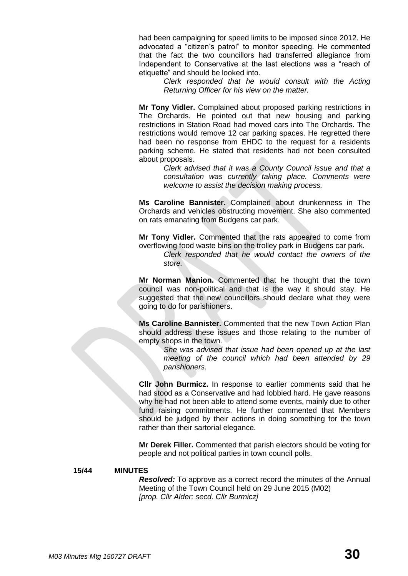had been campaigning for speed limits to be imposed since 2012. He advocated a "citizen's patrol" to monitor speeding. He commented that the fact the two councillors had transferred allegiance from Independent to Conservative at the last elections was a "reach of etiquette" and should be looked into.

> *Clerk responded that he would consult with the Acting Returning Officer for his view on the matter.*

**Mr Tony Vidler.** Complained about proposed parking restrictions in The Orchards. He pointed out that new housing and parking restrictions in Station Road had moved cars into The Orchards. The restrictions would remove 12 car parking spaces. He regretted there had been no response from EHDC to the request for a residents parking scheme. He stated that residents had not been consulted about proposals.

> *Clerk advised that it was a County Council issue and that a consultation was currently taking place. Comments were welcome to assist the decision making process.*

**Ms Caroline Bannister.** Complained about drunkenness in The Orchards and vehicles obstructing movement. She also commented on rats emanating from Budgens car park.

**Mr Tony Vidler.** Commented that the rats appeared to come from overflowing food waste bins on the trolley park in Budgens car park.

*Clerk responded that he would contact the owners of the store.*

**Mr Norman Manion.** Commented that he thought that the town council was non-political and that is the way it should stay. He suggested that the new councillors should declare what they were going to do for parishioners.

**Ms Caroline Bannister.** Commented that the new Town Action Plan should address these issues and those relating to the number of empty shops in the town.

> *She was advised that issue had been opened up at the last meeting of the council which had been attended by 29 parishioners.*

**Cllr John Burmicz.** In response to earlier comments said that he had stood as a Conservative and had lobbied hard. He gave reasons why he had not been able to attend some events, mainly due to other fund raising commitments. He further commented that Members should be judged by their actions in doing something for the town rather than their sartorial elegance.

**Mr Derek Filler.** Commented that parish electors should be voting for people and not political parties in town council polls.

#### **15/44 MINUTES**

*Resolved:* To approve as a correct record the minutes of the Annual Meeting of the Town Council held on 29 June 2015 (M02) *[prop. Cllr Alder; secd. Cllr Burmicz]*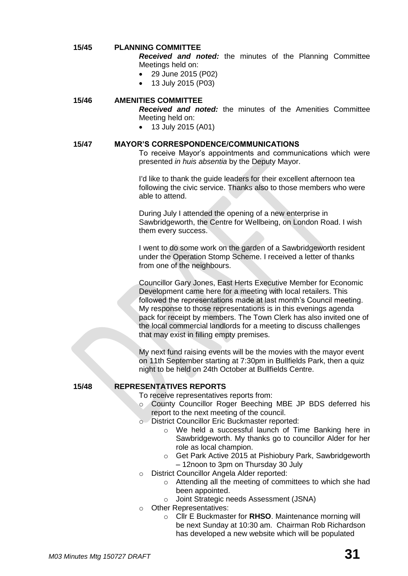#### **15/45 PLANNING COMMITTEE**

- *Received and noted:* the minutes of the Planning Committee Meetings held on:
- 29 June 2015 (P02)
	- 13 July 2015 (P03)

#### **15/46 AMENITIES COMMITTEE**

*Received and noted:* the minutes of the Amenities Committee Meeting held on:

- 13 July 2015 (A01)
- 

# **15/47 MAYOR'S CORRESPONDENCE/COMMUNICATIONS**

To receive Mayor's appointments and communications which were presented *in huis absentia* by the Deputy Mayor.

I'd like to thank the guide leaders for their excellent afternoon tea following the civic service. Thanks also to those members who were able to attend.

During July I attended the opening of a new enterprise in Sawbridgeworth, the Centre for Wellbeing, on London Road. I wish them every success.

I went to do some work on the garden of a Sawbridgeworth resident under the Operation Stomp Scheme. I received a letter of thanks from one of the neighbours.

Councillor Gary Jones, East Herts Executive Member for Economic Development came here for a meeting with local retailers. This followed the representations made at last month's Council meeting. My response to those representations is in this evenings agenda pack for receipt by members. The Town Clerk has also invited one of the local commercial landlords for a meeting to discuss challenges that may exist in filling empty premises.

My next fund raising events will be the movies with the mayor event on 11th September starting at 7:30pm in Bullfields Park, then a quiz night to be held on 24th October at Bullfields Centre.

## **15/48 REPRESENTATIVES REPORTS**

To receive representatives reports from:

- o County Councillor Roger Beeching MBE JP BDS deferred his report to the next meeting of the council.
- o District Councillor Eric Buckmaster reported:
	- o We held a successful launch of Time Banking here in Sawbridgeworth. My thanks go to councillor Alder for her role as local champion.
	- o Get Park Active 2015 at Pishiobury Park, Sawbridgeworth – 12noon to 3pm on Thursday 30 July
- o District Councillor Angela Alder reported:
	- o Attending all the meeting of committees to which she had been appointed.
	- o Joint Strategic needs Assessment (JSNA)
- o Other Representatives:
	- o Cllr E Buckmaster for **RHSO**. Maintenance morning will be next Sunday at 10:30 am. Chairman Rob Richardson has developed a new website which will be populated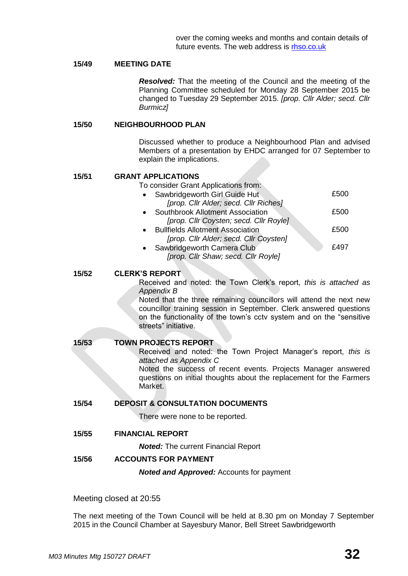## **15/49 MEETING DATE**

*Resolved:* That the meeting of the Council and the meeting of the Planning Committee scheduled for Monday 28 September 2015 be changed to Tuesday 29 September 2015. *[prop. Cllr Alder; secd. Cllr Burmicz]*

#### **15/50 NEIGHBOURHOOD PLAN**

Discussed whether to produce a Neighbourhood Plan and advised Members of a presentation by EHDC arranged for 07 September to explain the implications.

#### **15/51 GRANT APPLICATIONS**

To consider Grant Applications from:

| Sawbridgeworth Girl Guide Hut           | £500 |
|-----------------------------------------|------|
| [prop. Cllr Alder; secd. Cllr Riches]   |      |
| Southbrook Allotment Association        | £500 |
| [prop. Cllr Coysten; secd. Cllr Royle]  |      |
| <b>Bullfields Allotment Association</b> | £500 |
| [prop. Cllr Alder; secd. Cllr Coysten]  |      |
| Sawbridgeworth Camera Club              | £497 |
|                                         |      |

*[prop. Cllr Shaw; secd. Cllr Royle]*

#### **15/52 CLERK'S REPORT**

Received and noted: the Town Clerk's report, *this is attached as Appendix B*

Noted that the three remaining councillors will attend the next new councillor training session in September. Clerk answered questions on the functionality of the town's cctv system and on the "sensitive streets" initiative.

**15/53 TOWN PROJECTS REPORT** Received and noted: the Town Project Manager's report, *this is attached as Appendix C* Noted the success of recent events. Projects Manager answered questions on initial thoughts about the replacement for the Farmers Market.

#### **15/54 DEPOSIT & CONSULTATION DOCUMENTS**

There were none to be reported.

**15/55 FINANCIAL REPORT**

*Noted:* The current Financial Report

#### **15/56 ACCOUNTS FOR PAYMENT**

*Noted and Approved:* Accounts for payment

Meeting closed at 20:55

The next meeting of the Town Council will be held at 8.30 pm on Monday 7 September 2015 in the Council Chamber at Sayesbury Manor, Bell Street Sawbridgeworth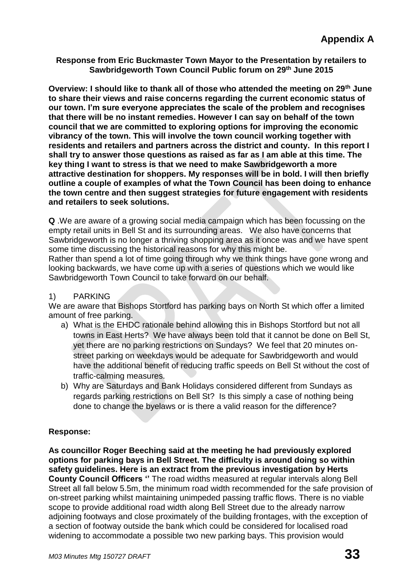**Response from Eric Buckmaster Town Mayor to the Presentation by retailers to Sawbridgeworth Town Council Public forum on 29th June 2015**

**Overview: I should like to thank all of those who attended the meeting on 29th June to share their views and raise concerns regarding the current economic status of our town. I'm sure everyone appreciates the scale of the problem and recognises that there will be no instant remedies. However I can say on behalf of the town council that we are committed to exploring options for improving the economic vibrancy of the town. This will involve the town council working together with residents and retailers and partners across the district and county. In this report I shall try to answer those questions as raised as far as I am able at this time. The key thing I want to stress is that we need to make Sawbridgeworth a more attractive destination for shoppers. My responses will be in bold. I will then briefly outline a couple of examples of what the Town Council has been doing to enhance the town centre and then suggest strategies for future engagement with residents and retailers to seek solutions.**

**Q** .We are aware of a growing social media campaign which has been focussing on the empty retail units in Bell St and its surrounding areas. We also have concerns that Sawbridgeworth is no longer a thriving shopping area as it once was and we have spent some time discussing the historical reasons for why this might be.

Rather than spend a lot of time going through why we think things have gone wrong and looking backwards, we have come up with a series of questions which we would like Sawbridgeworth Town Council to take forward on our behalf.

# 1) PARKING

We are aware that Bishops Stortford has parking bays on North St which offer a limited amount of free parking.

- a) What is the EHDC rationale behind allowing this in Bishops Stortford but not all towns in East Herts? We have always been told that it cannot be done on Bell St, yet there are no parking restrictions on Sundays? We feel that 20 minutes onstreet parking on weekdays would be adequate for Sawbridgeworth and would have the additional benefit of reducing traffic speeds on Bell St without the cost of traffic-calming measures.
- b) Why are Saturdays and Bank Holidays considered different from Sundays as regards parking restrictions on Bell St? Is this simply a case of nothing being done to change the byelaws or is there a valid reason for the difference?

# **Response:**

**As councillor Roger Beeching said at the meeting he had previously explored options for parking bays in Bell Street. The difficulty is around doing so within safety guidelines. Here is an extract from the previous investigation by Herts County Council Officers ''** The road widths measured at regular intervals along Bell Street all fall below 5.5m, the minimum road width recommended for the safe provision of on-street parking whilst maintaining unimpeded passing traffic flows. There is no viable scope to provide additional road width along Bell Street due to the already narrow adjoining footways and close proximately of the building frontages, with the exception of a section of footway outside the bank which could be considered for localised road widening to accommodate a possible two new parking bays. This provision would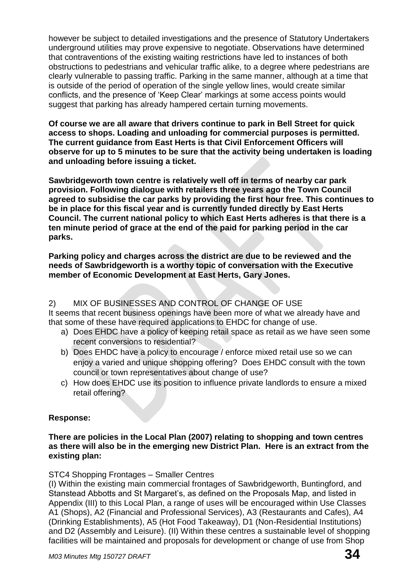however be subject to detailed investigations and the presence of Statutory Undertakers underground utilities may prove expensive to negotiate. Observations have determined that contraventions of the existing waiting restrictions have led to instances of both obstructions to pedestrians and vehicular traffic alike, to a degree where pedestrians are clearly vulnerable to passing traffic. Parking in the same manner, although at a time that is outside of the period of operation of the single yellow lines, would create similar conflicts, and the presence of 'Keep Clear' markings at some access points would suggest that parking has already hampered certain turning movements.

**Of course we are all aware that drivers continue to park in Bell Street for quick access to shops. Loading and unloading for commercial purposes is permitted. The current guidance from East Herts is that Civil Enforcement Officers will observe for up to 5 minutes to be sure that the activity being undertaken is loading and unloading before issuing a ticket.**

**Sawbridgeworth town centre is relatively well off in terms of nearby car park provision. Following dialogue with retailers three years ago the Town Council agreed to subsidise the car parks by providing the first hour free. This continues to be in place for this fiscal year and is currently funded directly by East Herts Council. The current national policy to which East Herts adheres is that there is a ten minute period of grace at the end of the paid for parking period in the car parks.**

**Parking policy and charges across the district are due to be reviewed and the needs of Sawbridgeworth is a worthy topic of conversation with the Executive member of Economic Development at East Herts, Gary Jones.**

# 2) MIX OF BUSINESSES AND CONTROL OF CHANGE OF USE

It seems that recent business openings have been more of what we already have and that some of these have required applications to EHDC for change of use.

- a) Does EHDC have a policy of keeping retail space as retail as we have seen some recent conversions to residential?
- b) Does EHDC have a policy to encourage / enforce mixed retail use so we can enjoy a varied and unique shopping offering? Does EHDC consult with the town council or town representatives about change of use?
- c) How does EHDC use its position to influence private landlords to ensure a mixed retail offering?

# **Response:**

# **There are policies in the Local Plan (2007) relating to shopping and town centres as there will also be in the emerging new District Plan. Here is an extract from the existing plan:**

# STC4 Shopping Frontages – Smaller Centres

(I) Within the existing main commercial frontages of Sawbridgeworth, Buntingford, and Stanstead Abbotts and St Margaret's, as defined on the Proposals Map, and listed in Appendix (III) to this Local Plan, a range of uses will be encouraged within Use Classes A1 (Shops), A2 (Financial and Professional Services), A3 (Restaurants and Cafes), A4 (Drinking Establishments), A5 (Hot Food Takeaway), D1 (Non-Residential Institutions) and D2 (Assembly and Leisure). (II) Within these centres a sustainable level of shopping facilities will be maintained and proposals for development or change of use from Shop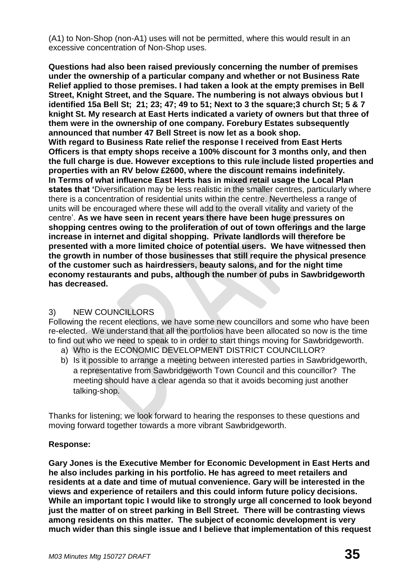(A1) to Non-Shop (non-A1) uses will not be permitted, where this would result in an excessive concentration of Non-Shop uses.

**Questions had also been raised previously concerning the number of premises under the ownership of a particular company and whether or not Business Rate Relief applied to those premises. I had taken a look at the empty premises in Bell Street, Knight Street, and the Square. The numbering is not always obvious but I identified 15a Bell St; 21; 23; 47; 49 to 51; Next to 3 the square;3 church St; 5 & 7 knight St. My research at East Herts indicated a variety of owners but that three of them were in the ownership of one company. Forebury Estates subsequently announced that number 47 Bell Street is now let as a book shop. With regard to Business Rate relief the response I received from East Herts Officers is that empty shops receive a 100% discount for 3 months only, and then the full charge is due. However exceptions to this rule include listed properties and properties with an RV below £2600, where the discount remains indefinitely. In Terms of what influence East Herts has in mixed retail usage the Local Plan states that '**Diversification may be less realistic in the smaller centres, particularly where there is a concentration of residential units within the centre. Nevertheless a range of units will be encouraged where these will add to the overall vitality and variety of the centre'. **As we have seen in recent years there have been huge pressures on shopping centres owing to the proliferation of out of town offerings and the large increase in internet and digital shopping. Private landlords will therefore be presented with a more limited choice of potential users. We have witnessed then the growth in number of those businesses that still require the physical presence of the customer such as hairdressers, beauty salons, and for the night time economy restaurants and pubs, although the number of pubs in Sawbridgeworth has decreased.**

# 3) NEW COUNCILLORS

Following the recent elections, we have some new councillors and some who have been re-elected. We understand that all the portfolios have been allocated so now is the time to find out who we need to speak to in order to start things moving for Sawbridgeworth.

- a) Who is the ECONOMIC DEVELOPMENT DISTRICT COUNCILLOR?
- b) Is it possible to arrange a meeting between interested parties in Sawbridgeworth, a representative from Sawbridgeworth Town Council and this councillor? The meeting should have a clear agenda so that it avoids becoming just another talking-shop.

Thanks for listening; we look forward to hearing the responses to these questions and moving forward together towards a more vibrant Sawbridgeworth.

# **Response:**

**Gary Jones is the Executive Member for Economic Development in East Herts and he also includes parking in his portfolio. He has agreed to meet retailers and residents at a date and time of mutual convenience. Gary will be interested in the views and experience of retailers and this could inform future policy decisions. While an important topic I would like to strongly urge all concerned to look beyond just the matter of on street parking in Bell Street. There will be contrasting views among residents on this matter. The subject of economic development is very much wider than this single issue and I believe that implementation of this request**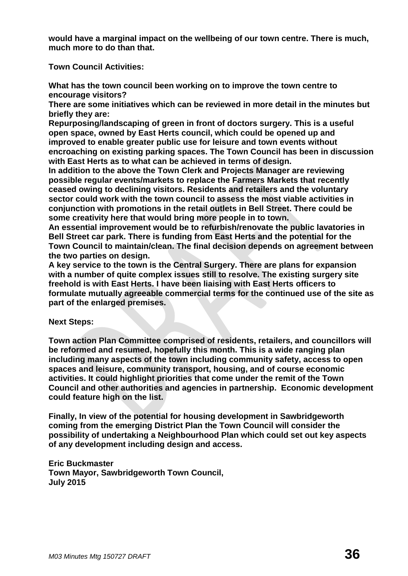**would have a marginal impact on the wellbeing of our town centre. There is much, much more to do than that.** 

**Town Council Activities:**

**What has the town council been working on to improve the town centre to encourage visitors?**

**There are some initiatives which can be reviewed in more detail in the minutes but briefly they are:**

**Repurposing/landscaping of green in front of doctors surgery. This is a useful open space, owned by East Herts council, which could be opened up and improved to enable greater public use for leisure and town events without encroaching on existing parking spaces. The Town Council has been in discussion with East Herts as to what can be achieved in terms of design.** 

**In addition to the above the Town Clerk and Projects Manager are reviewing possible regular events/markets to replace the Farmers Markets that recently ceased owing to declining visitors. Residents and retailers and the voluntary sector could work with the town council to assess the most viable activities in conjunction with promotions in the retail outlets in Bell Street. There could be some creativity here that would bring more people in to town.**

**An essential improvement would be to refurbish/renovate the public lavatories in Bell Street car park. There is funding from East Herts and the potential for the Town Council to maintain/clean. The final decision depends on agreement between the two parties on design.** 

**A key service to the town is the Central Surgery. There are plans for expansion with a number of quite complex issues still to resolve. The existing surgery site freehold is with East Herts. I have been liaising with East Herts officers to formulate mutually agreeable commercial terms for the continued use of the site as part of the enlarged premises.**

# **Next Steps:**

**Town action Plan Committee comprised of residents, retailers, and councillors will be reformed and resumed, hopefully this month. This is a wide ranging plan including many aspects of the town including community safety, access to open spaces and leisure, community transport, housing, and of course economic activities. It could highlight priorities that come under the remit of the Town Council and other authorities and agencies in partnership. Economic development could feature high on the list.** 

**Finally, In view of the potential for housing development in Sawbridgeworth coming from the emerging District Plan the Town Council will consider the possibility of undertaking a Neighbourhood Plan which could set out key aspects of any development including design and access.** 

# **Eric Buckmaster Town Mayor, Sawbridgeworth Town Council, July 2015**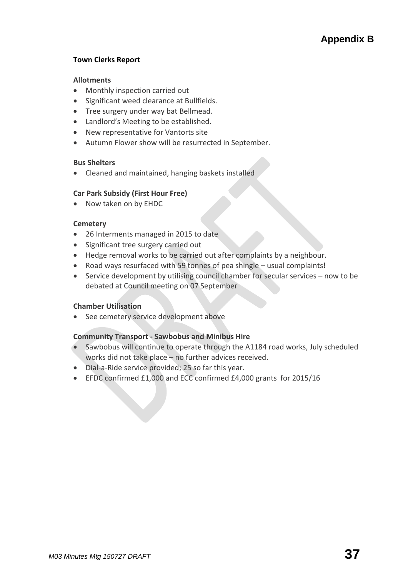## **Town Clerks Report**

#### **[Allotments](http://www.sawbridgeworth-tc.gov.uk/town-information/town-council-services/allotments)**

- Monthly inspection carried out
- **Significant weed clearance at Bullfields.**
- Tree surgery under way bat Bellmead.
- Landlord's Meeting to be established.
- New representative for Vantorts site
- Autumn Flower show will be resurrected in September.

#### **Bus Shelters**

Cleaned and maintained, hanging baskets installed

## **Car Park Subsidy (First Hour Free)**

• Now taken on by EHDC

#### **[Cemetery](http://www.sawbridgeworth-tc.gov.uk/town-information/town-council-services/cemetery)**

- 26 Interments managed in 2015 to date
- Significant tree surgery carried out
- Hedge removal works to be carried out after complaints by a neighbour.
- Road ways resurfaced with 59 tonnes of pea shingle usual complaints!
- Service development by utilising council chamber for secular services now to be debated at Council meeting on 07 September

## **Chamber Utilisation**

See cemetery service development above

## **Community Transport - [Sawbobus](http://www.sawbridgeworth-tc.gov.uk/town-information/town-council-services/sawbobus) an[d Minibus Hire](http://www.sawbridgeworth-tc.gov.uk/town-information/town-council-services/minibus-hire)**

- Sawbobus will continue to operate through the A1184 road works, July scheduled works did not take place – no further advices received.
- Dial-a-Ride service provided; 25 so far this year.
- EFDC confirmed £1,000 and ECC confirmed £4,000 grants for 2015/16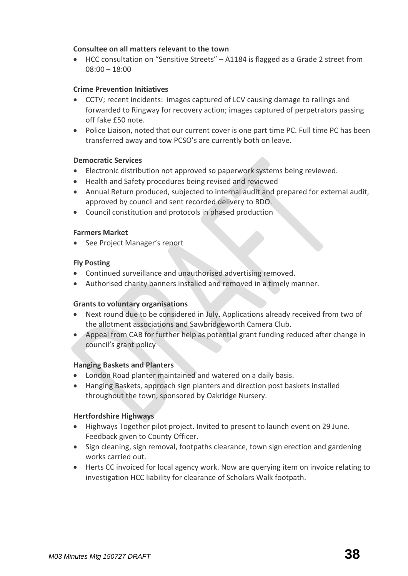## **Consultee on all matters relevant to the town**

 HCC consultation on "Sensitive Streets" – A1184 is flagged as a Grade 2 street from 08:00 – 18:00

# **Crime Prevention Initiatives**

- CCTV; recent incidents: images captured of LCV causing damage to railings and forwarded to Ringway for recovery action; images captured of perpetrators passing off fake £50 note.
- Police Liaison, noted that our current cover is one part time PC. Full time PC has been transferred away and tow PCSO's are currently both on leave.

## **Democratic Services**

- Electronic distribution not approved so paperwork systems being reviewed.
- Health and Safety procedures being revised and reviewed
- Annual Return produced, subjected to internal audit and prepared for external audit, approved by council and sent recorded delivery to BDO.
- Council constitution and protocols in phased production

## **[Farmers Market](http://www.sawbridgeworth-tc.gov.uk/farmers-market)**

• See Project Manager's report

## **Fly Posting**

- Continued surveillance and unauthorised advertising removed.
- Authorised charity banners installed and removed in a timely manner.

## **[Grants to voluntary organisations](http://www.sawbridgeworth-tc.gov.uk/town-council/grants)**

- Next round due to be considered in July. Applications already received from two of the allotment associations and Sawbridgeworth Camera Club.
- Appeal from CAB for further help as potential grant funding reduced after change in council's grant policy

## **Hanging Baskets and Planters**

- London Road planter maintained and watered on a daily basis.
- Hanging Baskets, approach sign planters and direction post baskets installed throughout the town, sponsored by Oakridge Nursery.

## **Hertfordshire Highways**

- Highways Together pilot project. Invited to present to launch event on 29 June. Feedback given to County Officer.
- Sign cleaning, sign removal, footpaths clearance, town sign erection and gardening works carried out.
- Herts CC invoiced for local agency work. Now are querying item on invoice relating to investigation HCC liability for clearance of Scholars Walk footpath.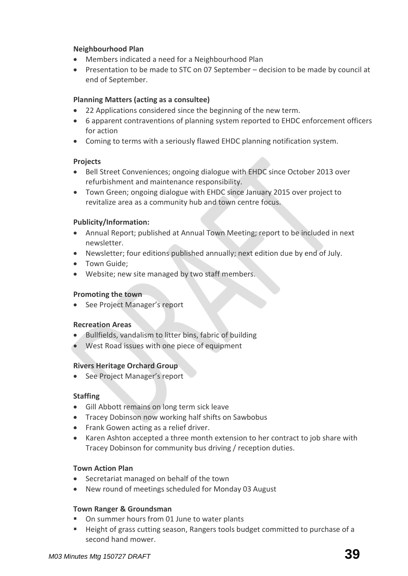# **Neighbourhood Plan**

- Members indicated a need for a Neighbourhood Plan
- Presentation to be made to STC on 07 September decision to be made by council at end of September.

# **[Planning Matters \(acting as a consultee\)](http://www.sawbridgeworth-tc.gov.uk/town-council/planning)**

- 22 Applications considered since the beginning of the new term.
- 6 apparent contraventions of planning system reported to EHDC enforcement officers for action
- Coming to terms with a seriously flawed EHDC planning notification system.

## **Projects**

- Bell Street Conveniences; ongoing dialogue with EHDC since October 2013 over refurbishment and maintenance responsibility.
- Town Green; ongoing dialogue with EHDC since January 2015 over project to revitalize area as a community hub and town centre focus.

## **Publicity/Information:**

- Annual Report; published at Annual Town Meeting; report to be included in next newsletter.
- Newsletter; four editions published annually; next edition due by end of July.
- Town Guide;
- Website; new site managed by two staff members.

## **Promoting the town**

• See Project Manager's report

## **Recreation Areas**

- Bullfields, vandalism to litter bins, fabric of building
- West Road issues with one piece of equipment

## **Rivers Heritage Orchard Group**

• See Project Manager's report

## **Staffing**

- Gill Abbott remains on long term sick leave
- Tracey Dobinson now working half shifts on Sawbobus
- Frank Gowen acting as a relief driver.
- Karen Ashton accepted a three month extension to her contract to job share with Tracey Dobinson for community bus driving / reception duties.

## **Town Action Plan**

- Secretariat managed on behalf of the town
- New round of meetings scheduled for Monday 03 August

## **Town Ranger & Groundsman**

- On summer hours from 01 June to water plants
- Height of grass cutting season, Rangers tools budget committed to purchase of a second hand mower.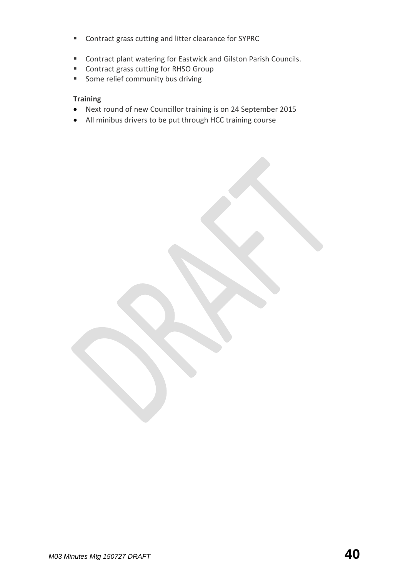- **EXECONTRACT CONTRACT CONTRACT PROT** Contract grass cutting and litter clearance for SYPRC
- Contract plant watering for Eastwick and Gilston Parish Councils.
- Contract grass cutting for RHSO Group
- **Some relief community bus driving**

## **Training**

- Next round of new Councillor training is on 24 September 2015
- All minibus drivers to be put through HCC training course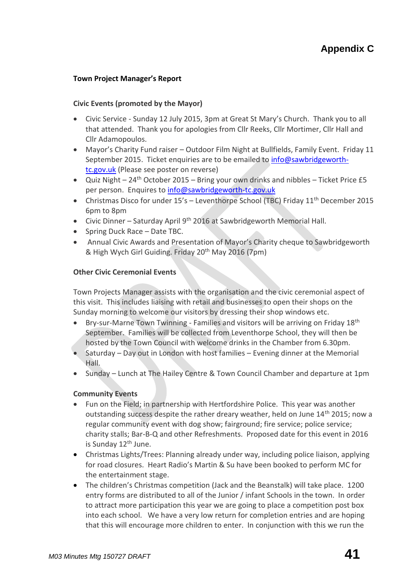# **Town Project Manager's Report**

#### **[Civic Events \(promoted by the Mayor\)](http://www.sawbridgeworth-tc.gov.uk/town-council/the-mayor)**

- Civic Service Sunday 12 July 2015, 3pm at Great St Mary's Church. Thank you to all that attended. Thank you for apologies from Cllr Reeks, Cllr Mortimer, Cllr Hall and Cllr Adamopoulos.
- Mayor's Charity Fund raiser Outdoor Film Night at Bullfields, Family Event. Friday 11 September 2015. Ticket enquiries are to be emailed to [info@sawbridgeworth](mailto:info@sawbridgeworth-tc.gov.uk)[tc.gov.uk](mailto:info@sawbridgeworth-tc.gov.uk) (Please see poster on reverse)
- Quiz Night  $24<sup>th</sup>$  October 2015 Bring your own drinks and nibbles Ticket Price £5 per person. Enquires to [info@sawbridgeworth-tc.gov.uk](mailto:info@sawbridgeworth-tc.gov.uk)
- Christmas Disco for under 15's Leventhorpe School (TBC) Friday 11<sup>th</sup> December 2015 6pm to 8pm
- Civic Dinner Saturday April 9<sup>th</sup> 2016 at Sawbridgeworth Memorial Hall.
- Spring Duck Race Date TBC.
- Annual Civic Awards and Presentation of Mayor's Charity cheque to Sawbridgeworth & High Wych Girl Guiding. Friday 20th May 2016 (7pm)

#### **Other Civic Ceremonial Events**

Town Projects Manager assists with the organisation and the civic ceremonial aspect of this visit. This includes liaising with retail and businesses to open their shops on the Sunday morning to welcome our visitors by dressing their shop windows etc.

- **•** Bry-sur-Marne Town Twinning Families and visitors will be arriving on Friday 18<sup>th</sup> September. Families will be collected from Leventhorpe School, they will then be hosted by the Town Council with welcome drinks in the Chamber from 6.30pm.
- Saturday Day out in London with host families Evening dinner at the Memorial Hall.
- Sunday Lunch at The Hailey Centre & Town Council Chamber and departure at 1pm

## **Community Events**

- Fun on the Field; in partnership with Hertfordshire Police. This year was another outstanding success despite the rather dreary weather, held on June  $14<sup>th</sup>$  2015; now a regular community event with dog show; fairground; fire service; police service; charity stalls; Bar-B-Q and other Refreshments. Proposed date for this event in 2016 is Sunday 12<sup>th</sup> June.
- Christmas Lights/Trees: Planning already under way, including police liaison, applying for road closures. Heart Radio's Martin & Su have been booked to perform MC for the entertainment stage.
- The children's Christmas competition (Jack and the Beanstalk) will take place. 1200 entry forms are distributed to all of the Junior / infant Schools in the town. In order to attract more participation this year we are going to place a competition post box into each school. We have a very low return for completion entries and are hoping that this will encourage more children to enter. In conjunction with this we run the